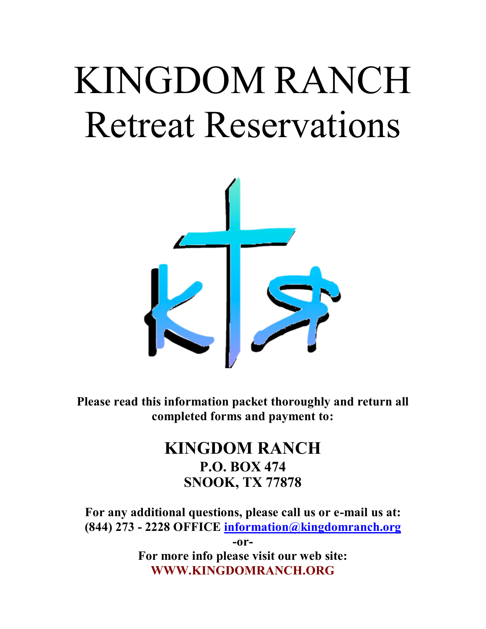# KINGDOM RANCH Retreat Reservations



**Please read this information packet thoroughly and return all completed forms and payment to:**

## **KINGDOM RANCH P.O. BOX 474 SNOOK, TX 77878**

**For any additional questions, please call us or e-mail us at: (844) 273 - 2228 OFFICE information@kingdomranch.org**

> **-or-For more info please visit our web site: WWW.KINGDOMRANCH.ORG**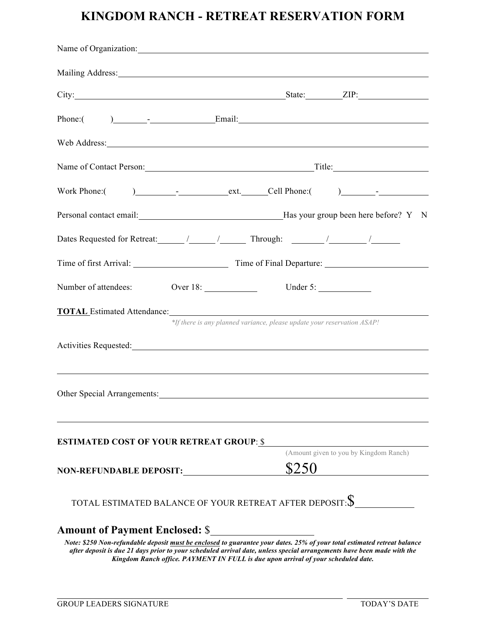### **KINGDOM RANCH - RETREAT RESERVATION FORM**

| Name of Organization:                                                                                                                                                                                                                                                                                          |
|----------------------------------------------------------------------------------------------------------------------------------------------------------------------------------------------------------------------------------------------------------------------------------------------------------------|
| Mailing Address: 1988 and 2008 and 2008 and 2008 and 2008 and 2008 and 2008 and 2008 and 2008 and 2008 and 200                                                                                                                                                                                                 |
| City: <u>City:</u> City: City: City: City: City: City: City: City: City: City: City: City: City: City: City: City: City: City: City: City: City: City: City: City: City: City: City: City: City: City: City: City: City: City: City                                                                            |
|                                                                                                                                                                                                                                                                                                                |
| Web Address: New York Changes and the Contract of the Contract of the Contract of the Contract of the Contract of the Contract of the Contract of the Contract of the Contract of the Contract of the Contract of the Contract                                                                                 |
| Name of Contact Person: Title: Title:                                                                                                                                                                                                                                                                          |
|                                                                                                                                                                                                                                                                                                                |
|                                                                                                                                                                                                                                                                                                                |
|                                                                                                                                                                                                                                                                                                                |
|                                                                                                                                                                                                                                                                                                                |
| Number of attendees: Over 18: Under 5:                                                                                                                                                                                                                                                                         |
| <b>TOTAL</b> Estimated Attendance: Note that the set of the set of the set of the set of the set of the set of the set of the set of the set of the set of the set of the set of the set of the set of the set of the set of the se<br>*If there is any planned variance, please update your reservation ASAP! |
|                                                                                                                                                                                                                                                                                                                |
| Other Special Arrangements:                                                                                                                                                                                                                                                                                    |
| <b>ESTIMATED COST OF YOUR RETREAT GROUP: \$</b>                                                                                                                                                                                                                                                                |
| (Amount given to you by Kingdom Ranch)<br>\$250<br>NON-REFUNDABLE DEPOSIT:                                                                                                                                                                                                                                     |
| TOTAL ESTIMATED BALANCE OF YOUR RETREAT AFTER DEPOSIT: $\$\,$                                                                                                                                                                                                                                                  |
|                                                                                                                                                                                                                                                                                                                |

*Note: \$250 Non-refundable deposit must be enclosed to guarantee your dates. 25% of your total estimated retreat balance after deposit is due 21 days prior to your scheduled arrival date, unless special arrangements have been made with the Kingdom Ranch office. PAYMENT IN FULL is due upon arrival of your scheduled date.*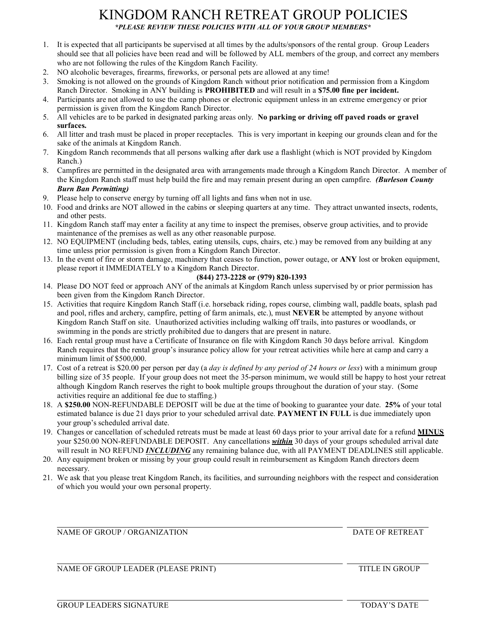#### KINGDOM RANCH RETREAT GROUP POLICIES *\*PLEASE REVIEW THESE POLICIES WITH ALL OF YOUR GROUP MEMBERS\**

- 1. It is expected that all participants be supervised at all times by the adults/sponsors of the rental group. Group Leaders should see that all policies have been read and will be followed by ALL members of the group, and correct any members who are not following the rules of the Kingdom Ranch Facility.
- 2. NO alcoholic beverages, firearms, fireworks, or personal pets are allowed at any time!
- 3. Smoking is not allowed on the grounds of Kingdom Ranch without prior notification and permission from a Kingdom Ranch Director. Smoking in ANY building is **PROHIBITED** and will result in a **\$75.00 fine per incident.**
- 4. Participants are not allowed to use the camp phones or electronic equipment unless in an extreme emergency or prior permission is given from the Kingdom Ranch Director.
- 5. All vehicles are to be parked in designated parking areas only. **No parking or driving off paved roads or gravel surfaces.**
- 6. All litter and trash must be placed in proper receptacles. This is very important in keeping our grounds clean and for the sake of the animals at Kingdom Ranch.
- 7. Kingdom Ranch recommends that all persons walking after dark use a flashlight (which is NOT provided by Kingdom Ranch.)
- 8. Campfires are permitted in the designated area with arrangements made through a Kingdom Ranch Director. A member of the Kingdom Ranch staff must help build the fire and may remain present during an open campfire. *(Burleson County Burn Ban Permitting)*
- 9. Please help to conserve energy by turning off all lights and fans when not in use.
- 10. Food and drinks are NOT allowed in the cabins or sleeping quarters at any time. They attract unwanted insects, rodents, and other pests.
- 11. Kingdom Ranch staff may enter a facility at any time to inspect the premises, observe group activities, and to provide maintenance of the premises as well as any other reasonable purpose.
- 12. NO EQUIPMENT (including beds, tables, eating utensils, cups, chairs, etc.) may be removed from any building at any time unless prior permission is given from a Kingdom Ranch Director.
- 13. In the event of fire or storm damage, machinery that ceases to function, power outage, or **ANY** lost or broken equipment, please report it IMMEDIATELY to a Kingdom Ranch Director.

#### **(844) 273-2228 or (979) 820-1393**

- 14. Please DO NOT feed or approach ANY of the animals at Kingdom Ranch unless supervised by or prior permission has been given from the Kingdom Ranch Director.
- 15. Activities that require Kingdom Ranch Staff (i.e. horseback riding, ropes course, climbing wall, paddle boats, splash pad and pool, rifles and archery, campfire, petting of farm animals, etc.), must **NEVER** be attempted by anyone without Kingdom Ranch Staff on site. Unauthorized activities including walking off trails, into pastures or woodlands, or swimming in the ponds are strictly prohibited due to dangers that are present in nature.
- 16. Each rental group must have a Certificate of Insurance on file with Kingdom Ranch 30 days before arrival. Kingdom Ranch requires that the rental group's insurance policy allow for your retreat activities while here at camp and carry a minimum limit of \$500,000.
- 17. Cost of a retreat is \$20.00 per person per day (a *day is defined by any period of 24 hours or less*) with a minimum group billing size of 35 people. If your group does not meet the 35-person minimum, we would still be happy to host your retreat although Kingdom Ranch reserves the right to book multiple groups throughout the duration of your stay. (Some activities require an additional fee due to staffing.)
- 18. A **\$250.00** NON-REFUNDABLE DEPOSIT will be due at the time of booking to guarantee your date. **25%** of your total estimated balance is due 21 days prior to your scheduled arrival date. **PAYMENT IN FULL** is due immediately upon your group's scheduled arrival date.
- 19. Changes or cancellation of scheduled retreats must be made at least 60 days prior to your arrival date for a refund **MINUS** your \$250.00 NON-REFUNDABLE DEPOSIT. Any cancellations *within* 30 days of your groups scheduled arrival date will result in NO REFUND *INCLUDING* any remaining balance due, with all PAYMENT DEADLINES still applicable.
- 20. Any equipment broken or missing by your group could result in reimbursement as Kingdom Ranch directors deem necessary.
- 21. We ask that you please treat Kingdom Ranch, its facilities, and surrounding neighbors with the respect and consideration of which you would your own personal property.

NAME OF GROUP / ORGANIZATION DATE OF RETREAT

NAME OF GROUP LEADER (PLEASE PRINT) TITLE IN GROUP